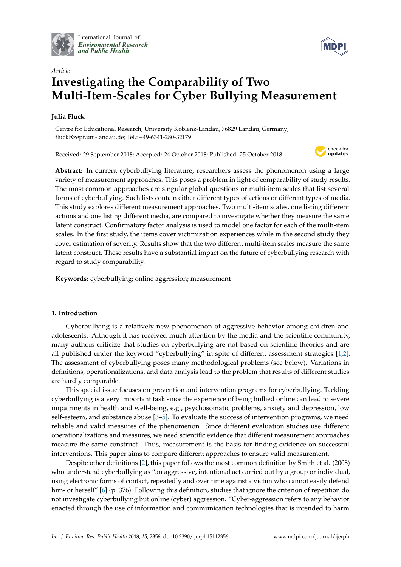

International Journal of *[Environmental Research](http://www.mdpi.com/journal/ijerph) and Public Health*



# *Article* **Investigating the Comparability of Two Multi-Item-Scales for Cyber Bullying Measurement**

# **Julia Fluck**

Centre for Educational Research, University Koblenz-Landau, 76829 Landau, Germany; fluck@zepf.uni-landau.de; Tel.: +49-6341-280-32179

Received: 29 September 2018; Accepted: 24 October 2018; Published: 25 October 2018



**Abstract:** In current cyberbullying literature, researchers assess the phenomenon using a large variety of measurement approaches. This poses a problem in light of comparability of study results. The most common approaches are singular global questions or multi-item scales that list several forms of cyberbullying. Such lists contain either different types of actions or different types of media. This study explores different measurement approaches. Two multi-item scales, one listing different actions and one listing different media, are compared to investigate whether they measure the same latent construct. Confirmatory factor analysis is used to model one factor for each of the multi-item scales. In the first study, the items cover victimization experiences while in the second study they cover estimation of severity. Results show that the two different multi-item scales measure the same latent construct. These results have a substantial impact on the future of cyberbullying research with regard to study comparability.

**Keywords:** cyberbullying; online aggression; measurement

## **1. Introduction**

Cyberbullying is a relatively new phenomenon of aggressive behavior among children and adolescents. Although it has received much attention by the media and the scientific community, many authors criticize that studies on cyberbullying are not based on scientific theories and are all published under the keyword "cyberbullying" in spite of different assessment strategies [\[1,](#page-7-0)[2\]](#page-7-1). The assessment of cyberbullying poses many methodological problems (see below). Variations in definitions, operationalizations, and data analysis lead to the problem that results of different studies are hardly comparable.

This special issue focuses on prevention and intervention programs for cyberbullying. Tackling cyberbullying is a very important task since the experience of being bullied online can lead to severe impairments in health and well-being, e.g., psychosomatic problems, anxiety and depression, low self-esteem, and substance abuse [\[3–](#page-7-2)[5\]](#page-7-3). To evaluate the success of intervention programs, we need reliable and valid measures of the phenomenon. Since different evaluation studies use different operationalizations and measures, we need scientific evidence that different measurement approaches measure the same construct. Thus, measurement is the basis for finding evidence on successful interventions. This paper aims to compare different approaches to ensure valid measurement.

Despite other definitions [\[2\]](#page-7-1), this paper follows the most common definition by Smith et al. (2008) who understand cyberbullying as "an aggressive, intentional act carried out by a group or individual, using electronic forms of contact, repeatedly and over time against a victim who cannot easily defend him- or herself" [\[6\]](#page-7-4) (p. 376). Following this definition, studies that ignore the criterion of repetition do not investigate cyberbullying but online (cyber) aggression. "Cyber-aggression refers to any behavior enacted through the use of information and communication technologies that is intended to harm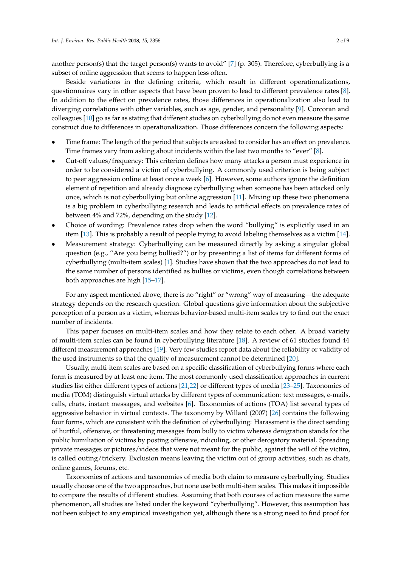another person(s) that the target person(s) wants to avoid" [\[7\]](#page-7-5) (p. 305). Therefore, cyberbullying is a subset of online aggression that seems to happen less often.

Beside variations in the defining criteria, which result in different operationalizations, questionnaires vary in other aspects that have been proven to lead to different prevalence rates [\[8\]](#page-7-6). In addition to the effect on prevalence rates, those differences in operationalization also lead to diverging correlations with other variables, such as age, gender, and personality [\[9\]](#page-7-7). Corcoran and colleagues [\[10\]](#page-7-8) go as far as stating that different studies on cyberbullying do not even measure the same construct due to differences in operationalization. Those differences concern the following aspects:

- Time frame: The length of the period that subjects are asked to consider has an effect on prevalence. Time frames vary from asking about incidents within the last two months to "ever" [\[8\]](#page-7-6).
- Cut-off values/frequency: This criterion defines how many attacks a person must experience in order to be considered a victim of cyberbullying. A commonly used criterion is being subject to peer aggression online at least once a week [\[6\]](#page-7-4). However, some authors ignore the definition element of repetition and already diagnose cyberbullying when someone has been attacked only once, which is not cyberbullying but online aggression [\[11\]](#page-7-9). Mixing up these two phenomena is a big problem in cyberbullying research and leads to artificial effects on prevalence rates of between 4% and 72%, depending on the study [\[12\]](#page-7-10).
- Choice of wording: Prevalence rates drop when the word "bullying" is explicitly used in an item [\[13\]](#page-7-11). This is probably a result of people trying to avoid labeling themselves as a victim [\[14\]](#page-7-12).
- Measurement strategy: Cyberbullying can be measured directly by asking a singular global question (e.g., "Are you being bullied?") or by presenting a list of items for different forms of cyberbullying (multi-item scales) [\[1\]](#page-7-0). Studies have shown that the two approaches do not lead to the same number of persons identified as bullies or victims, even though correlations between both approaches are high [\[15–](#page-7-13)[17\]](#page-8-0).

For any aspect mentioned above, there is no "right" or "wrong" way of measuring—the adequate strategy depends on the research question. Global questions give information about the subjective perception of a person as a victim, whereas behavior-based multi-item scales try to find out the exact number of incidents.

This paper focuses on multi-item scales and how they relate to each other. A broad variety of multi-item scales can be found in cyberbullying literature [\[18\]](#page-8-1). A review of 61 studies found 44 different measurement approaches [\[19\]](#page-8-2). Very few studies report data about the reliability or validity of the used instruments so that the quality of measurement cannot be determined [\[20\]](#page-8-3).

Usually, multi-item scales are based on a specific classification of cyberbullying forms where each form is measured by at least one item. The most commonly used classification approaches in current studies list either different types of actions [\[21,](#page-8-4)[22\]](#page-8-5) or different types of media [\[23–](#page-8-6)[25\]](#page-8-7). Taxonomies of media (TOM) distinguish virtual attacks by different types of communication: text messages, e-mails, calls, chats, instant messages, and websites [\[6\]](#page-7-4). Taxonomies of actions (TOA) list several types of aggressive behavior in virtual contexts. The taxonomy by Willard (2007) [\[26\]](#page-8-8) contains the following four forms, which are consistent with the definition of cyberbullying: Harassment is the direct sending of hurtful, offensive, or threatening messages from bully to victim whereas denigration stands for the public humiliation of victims by posting offensive, ridiculing, or other derogatory material. Spreading private messages or pictures/videos that were not meant for the public, against the will of the victim, is called outing/trickery. Exclusion means leaving the victim out of group activities, such as chats, online games, forums, etc.

Taxonomies of actions and taxonomies of media both claim to measure cyberbullying. Studies usually choose one of the two approaches, but none use both multi-item scales. This makes it impossible to compare the results of different studies. Assuming that both courses of action measure the same phenomenon, all studies are listed under the keyword "cyberbullying". However, this assumption has not been subject to any empirical investigation yet, although there is a strong need to find proof for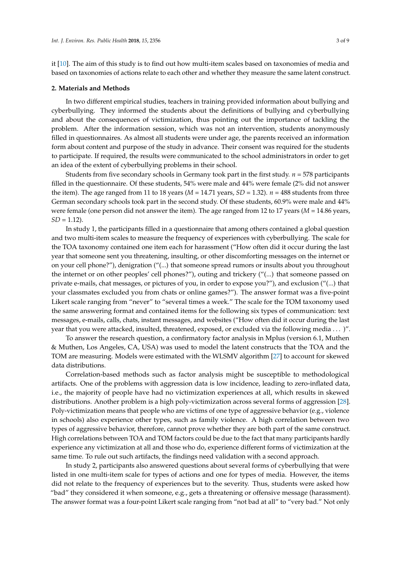it [\[10\]](#page-7-8). The aim of this study is to find out how multi-item scales based on taxonomies of media and based on taxonomies of actions relate to each other and whether they measure the same latent construct.

#### **2. Materials and Methods**

In two different empirical studies, teachers in training provided information about bullying and cyberbullying. They informed the students about the definitions of bullying and cyberbullying and about the consequences of victimization, thus pointing out the importance of tackling the problem. After the information session, which was not an intervention, students anonymously filled in questionnaires. As almost all students were under age, the parents received an information form about content and purpose of the study in advance. Their consent was required for the students to participate. If required, the results were communicated to the school administrators in order to get an idea of the extent of cyberbullying problems in their school.

Students from five secondary schools in Germany took part in the first study. *n* = 578 participants filled in the questionnaire. Of these students, 54% were male and 44% were female (2% did not answer the item). The age ranged from 11 to 18 years ( $M = 14.71$  years,  $SD = 1.32$ ).  $n = 488$  students from three German secondary schools took part in the second study. Of these students, 60.9% were male and 44% were female (one person did not answer the item). The age ranged from 12 to 17 years (*M* = 14.86 years,  $SD = 1.12$ .

In study 1, the participants filled in a questionnaire that among others contained a global question and two multi-item scales to measure the frequency of experiences with cyberbullying. The scale for the TOA taxonomy contained one item each for harassment ("How often did it occur during the last year that someone sent you threatening, insulting, or other discomforting messages on the internet or on your cell phone?"), denigration ("(...) that someone spread rumors or insults about you throughout the internet or on other peoples' cell phones?"), outing and trickery ("(...) that someone passed on private e-mails, chat messages, or pictures of you, in order to expose you?"), and exclusion ("(...) that your classmates excluded you from chats or online games?"). The answer format was a five-point Likert scale ranging from "never" to "several times a week." The scale for the TOM taxonomy used the same answering format and contained items for the following six types of communication: text messages, e-mails, calls, chats, instant messages, and websites ("How often did it occur during the last year that you were attacked, insulted, threatened, exposed, or excluded via the following media . . . )".

To answer the research question, a confirmatory factor analysis in Mplus (version 6.1, Muthen & Muthen, Los Angeles, CA, USA) was used to model the latent constructs that the TOA and the TOM are measuring. Models were estimated with the WLSMV algorithm [\[27\]](#page-8-9) to account for skewed data distributions.

Correlation-based methods such as factor analysis might be susceptible to methodological artifacts. One of the problems with aggression data is low incidence, leading to zero-inflated data, i.e., the majority of people have had no victimization experiences at all, which results in skewed distributions. Another problem is a high poly-victimization across several forms of aggression [\[28\]](#page-8-10). Poly-victimization means that people who are victims of one type of aggressive behavior (e.g., violence in schools) also experience other types, such as family violence. A high correlation between two types of aggressive behavior, therefore, cannot prove whether they are both part of the same construct. High correlations between TOA and TOM factors could be due to the fact that many participants hardly experience any victimization at all and those who do, experience different forms of victimization at the same time. To rule out such artifacts, the findings need validation with a second approach.

In study 2, participants also answered questions about several forms of cyberbullying that were listed in one multi-item scale for types of actions and one for types of media. However, the items did not relate to the frequency of experiences but to the severity. Thus, students were asked how "bad" they considered it when someone, e.g., gets a threatening or offensive message (harassment). The answer format was a four-point Likert scale ranging from "not bad at all" to "very bad." Not only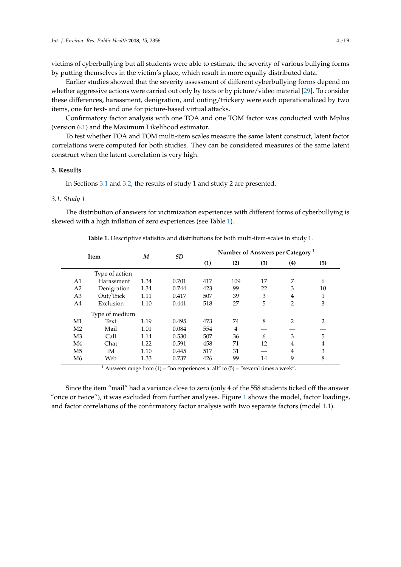victims of cyberbullying but all students were able to estimate the severity of various bullying forms by putting themselves in the victim's place, which result in more equally distributed data.

Earlier studies showed that the severity assessment of different cyberbullying forms depend on whether aggressive actions were carried out only by texts or by picture/video material [\[29\]](#page-8-11). To consider these differences, harassment, denigration, and outing/trickery were each operationalized by two items, one for text- and one for picture-based virtual attacks.

Confirmatory factor analysis with one TOA and one TOM factor was conducted with Mplus (version 6.1) and the Maximum Likelihood estimator.

To test whether TOA and TOM multi-item scales measure the same latent construct, latent factor correlations were computed for both studies. They can be considered measures of the same latent construct when the latent correlation is very high.

### **3. Results**

In Sections [3.1](#page-3-0) and [3.2,](#page-4-0) the results of study 1 and study 2 are presented.

### <span id="page-3-0"></span>*3.1. Study 1*

The distribution of answers for victimization experiences with different forms of cyberbullying is skewed with a high inflation of zero experiences (see Table [1\)](#page-3-1).

<span id="page-3-1"></span>

| Item           |                | M    | SD    |     | Number of Answers per Category <sup>1</sup> |     |                |     |  |
|----------------|----------------|------|-------|-----|---------------------------------------------|-----|----------------|-----|--|
|                |                |      |       | (1) | (2)                                         | (3) | (4)            | (5) |  |
|                | Type of action |      |       |     |                                             |     |                |     |  |
| A1             | Harassment     | 1.34 | 0.701 | 417 | 109                                         | 17  | 7              | 6   |  |
| A <sub>2</sub> | Denigration    | 1.34 | 0.744 | 423 | 99                                          | 22  | 3              | 10  |  |
| A <sub>3</sub> | Out/Trick      | 1.11 | 0.417 | 507 | 39                                          | 3   | 4              | 1   |  |
| A4             | Exclusion      | 1.10 | 0.441 | 518 | 27                                          | 5   | 2              | 3   |  |
|                | Type of medium |      |       |     |                                             |     |                |     |  |
| M1             | Text           | 1.19 | 0.495 | 473 | 74                                          | 8   | $\overline{2}$ | 2   |  |
| M <sub>2</sub> | Mail           | 1.01 | 0.084 | 554 | 4                                           |     |                |     |  |
| M <sub>3</sub> | Call           | 1.14 | 0.530 | 507 | 36                                          | 6   | 3              | 5   |  |
| M <sub>4</sub> | Chat           | 1.22 | 0.591 | 458 | 71                                          | 12  | 4              | 4   |  |
| M <sub>5</sub> | IΜ             | 1.10 | 0.445 | 517 | 31                                          |     | 4              | 3   |  |
| M6             | Web            | 1.33 | 0.737 | 426 | 99                                          | 14  | 9              | 8   |  |

**Table 1.** Descriptive statistics and distributions for both multi-item-scales in study 1.

<sup>1</sup> Answers range from (1) = "no experiences at all" to (5) = "several times a week".

Since the item "mail" had a variance close to zero (only 4 of the 558 students ticked off the answer "once or twice"), it was excluded from further analyses. Figure [1](#page-4-1) shows the model, factor loadings, and factor correlations of the confirmatory factor analysis with two separate factors (model 1.1).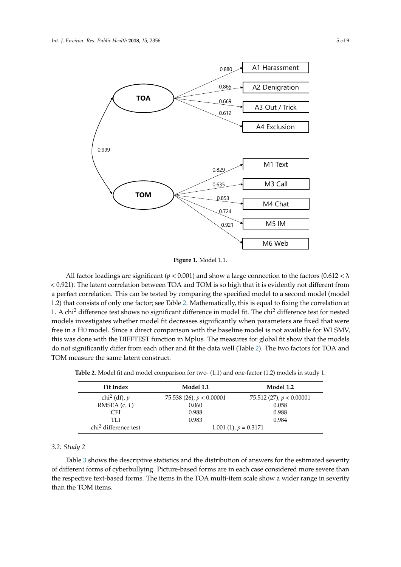<span id="page-4-1"></span>

**Figure 1.** Model 1.1. **Figure 1.** Model 1.1.

< 0.921). The latent correlation between TOA and TOM is so high that it is evidently not different from a perfect correlation. This can be tested by comparing the specified model to a second model (model 1.2) that consists of only one factor; see Table [2.](#page-4-2) Mathematically, this is equal to fixing the correlation at 1. A chi<sup>2</sup> difference test shows no significant difference in model fit. The chi<sup>2</sup> difference test for nested models investigates whether model fit decreases significantly when parameters are fixed that were free in a H0 model. Since a direct comparison with the baseline model is not available for WLSMV, this was done with the DIFFTEST function in Mplus. The measures for global fit show that the models do not significantly differ from each other and fit the data well (Table [2\)](#page-4-2). The two factors for TOA and TOM measure the same latent construct. All factor loadings are significant ( $p < 0.001$ ) and show a large connection to the factors (0.612 <  $\lambda$ 

| <b>Fit Index</b>                 | Model 1.1                  | Model 1.2                  |  |
|----------------------------------|----------------------------|----------------------------|--|
| chi <sup>2</sup> (df), $p$       | 75.538 (26), $p < 0.00001$ | 75.512 (27), $p < 0.00001$ |  |
| RMSEA (c. i.)                    | 0.060                      | 0.058                      |  |
| <b>CFI</b>                       | 0.988                      | 0.988                      |  |
| TL J                             | 0.983                      | 0.984                      |  |
| chi <sup>2</sup> difference test |                            | 1.001 (1), $p = 0.3171$    |  |

<span id="page-4-2"></span>**Table 2.** Model fit and model comparison for two- (1.1) and one-factor (1.2) models in study 1.

#### <span id="page-4-0"></span>*3.2. Study 2*

Table 3 shows the descriptive statistics and the distribution of answers for the estimated severity of different forms of cyberbullying. Picture-based forms are in each case considered more severe than the respective text-based forms. The items in the TOA multi-item scale show a wider range in severity  $\frac{1}{100}$  than the TOM items.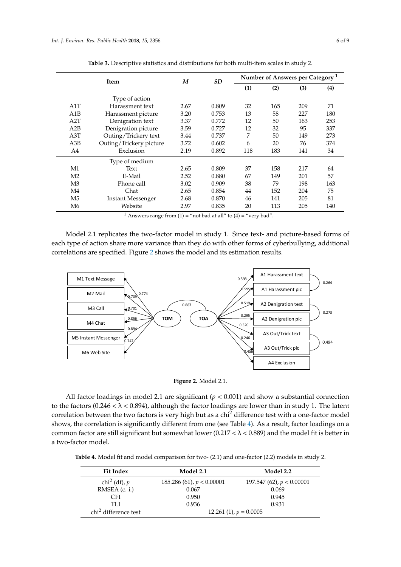<span id="page-5-0"></span>

| Item           |                          | $\boldsymbol{M}$ | <b>SD</b> | Number of Answers per Category <sup>1</sup> |     |     |     |
|----------------|--------------------------|------------------|-----------|---------------------------------------------|-----|-----|-----|
|                |                          |                  |           | (1)                                         | (2) | (3) | (4) |
|                | Type of action           |                  |           |                                             |     |     |     |
| A1T            | Harassment text          | 2.67             | 0.809     | 32                                          | 165 | 209 | 71  |
| A1B            | Harassment picture       | 3.20             | 0.753     | 13                                          | 58  | 227 | 180 |
| A2T            | Denigration text         | 3.37             | 0.772     | 12                                          | 50  | 163 | 253 |
| A2B            | Denigration picture      | 3.59             | 0.727     | 12                                          | 32  | 95  | 337 |
| A3T            | Outing/Trickery text     | 3.44             | 0.737     | 7                                           | 50  | 149 | 273 |
| A3B            | Outing/Trickery picture  | 3.72             | 0.602     | 6                                           | 20  | 76  | 374 |
| A4             | Exclusion                | 2.19             | 0.892     | 118                                         | 183 | 141 | 34  |
|                | Type of medium           |                  |           |                                             |     |     |     |
| M1             | Text                     | 2.65             | 0.809     | 37                                          | 158 | 217 | 64  |
| M <sub>2</sub> | E-Mail                   | 2.52             | 0.880     | 67                                          | 149 | 201 | 57  |
| M <sub>3</sub> | Phone call               | 3.02             | 0.909     | 38                                          | 79  | 198 | 163 |
| M <sub>4</sub> | Chat                     | 2.65             | 0.854     | 44                                          | 152 | 204 | 75  |
| M <sub>5</sub> | <b>Instant Messenger</b> | 2.68             | 0.870     | 46                                          | 141 | 205 | 81  |
| M6             | Website                  | 2.97             | 0.835     | 20                                          | 113 | 205 | 140 |

**Table 3.** Descriptive statistics and distributions for both multi-item scales in study 2. **Table 3.** Descriptive statistics and distributions for both multi-item scales in study 2.

Allowels range from  $(1)$  – not bad at all  $(0)$   $(4)$  –  $\forall$ ery bad.

Model 2.1 replicates the two-factor model in study 1. Since text- and picture-based forms of each type of action share more variance than they do with other forms of cyberbullying, additional correlations are specified. Figure 2 shows the model and its estimation results. correlations are specified. Figu[re](#page-5-1) 2 shows the model and its estimation results. type of action share more variance than they do with other forms of cyberbullying, additional

<span id="page-5-1"></span>



All factor loadings in model 2.1 are significant ( $p < 0.001$ ) and show a substantial connection to the factors (0.246  $< \lambda < 0.894$ ), although the factor loadings are lower than in study 1. The latent correlation between the two factors is very high but as a chi<sup>2</sup> difference test with a one-factor model shows, the correlation is significantly different from one (see Table 4). As a result, factor loadings on shows, the correlation is significantly different from one (see Table [4\)](#page-5-2). As a result, factor loadings on a common factor are still significant but somewhat lower (0.217 <  $\lambda$  < 0.889) and the model fit is better in a two-factor model.

<span id="page-5-2"></span>**Table 4.** Model fit and model comparison for two- (2.1) and one-factor (2.2) models in study 2.

| <b>Fit Index</b>                 | Model 2.1                   | Model 2.2<br>197.547 (62), $p < 0.00001$ |  |  |
|----------------------------------|-----------------------------|------------------------------------------|--|--|
| chi <sup>2</sup> (df), $p$       | 185.286 (61), $p < 0.00001$ |                                          |  |  |
| RMSEA (c. i.)                    | 0.067                       | 0.069                                    |  |  |
| CFI                              | 0.950                       | 0.945                                    |  |  |
| TH.I                             | 0.936                       | 0.931                                    |  |  |
| chi <sup>2</sup> difference test | 12.261 (1), $p = 0.0005$    |                                          |  |  |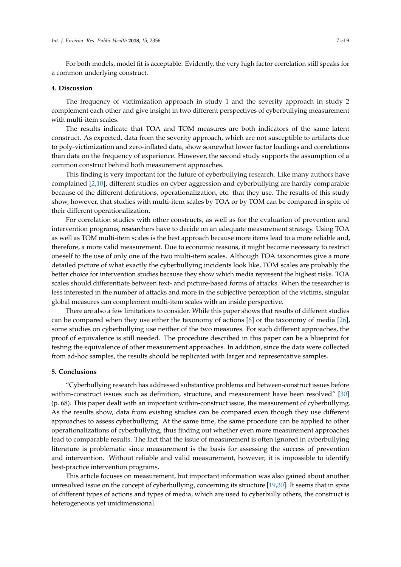For both models, model fit is acceptable. Evidently, the very high factor correlation still speaks for a common underlying construct.

#### **4. Discussion**

The frequency of victimization approach in study 1 and the severity approach in study 2 complement each other and give insight in two different perspectives of cyberbullying measurement with multi-item scales.

The results indicate that TOA and TOM measures are both indicators of the same latent construct. As expected, data from the severity approach, which are not susceptible to artifacts due to poly-victimization and zero-inflated data, show somewhat lower factor loadings and correlations than data on the frequency of experience. However, the second study supports the assumption of a common construct behind both measurement approaches.

This finding is very important for the future of cyberbullying research. Like many authors have complained [\[2](#page-7-1)[,10\]](#page-7-8), different studies on cyber aggression and cyberbullying are hardly comparable because of the different definitions, operationalization, etc. that they use. The results of this study show, however, that studies with multi-item scales by TOA or by TOM can be compared in spite of their different operationalization.

For correlation studies with other constructs, as well as for the evaluation of prevention and intervention programs, researchers have to decide on an adequate measurement strategy. Using TOA as well as TOM multi-item scales is the best approach because more items lead to a more reliable and, therefore, a more valid measurement. Due to economic reasons, it might become necessary to restrict oneself to the use of only one of the two multi-item scales. Although TOA taxonomies give a more detailed picture of what exactly the cyberbullying incidents look like, TOM scales are probably the better choice for intervention studies because they show which media represent the highest risks. TOA scales should differentiate between text- and picture-based forms of attacks. When the researcher is less interested in the number of attacks and more in the subjective perception of the victims, singular global measures can complement multi-item scales with an inside perspective.

There are also a few limitations to consider. While this paper shows that results of different studies can be compared when they use either the taxonomy of actions [\[6\]](#page-7-4) or the taxonomy of media [\[26\]](#page-8-8), some studies on cyberbullying use neither of the two measures. For such different approaches, the proof of equivalence is still needed. The procedure described in this paper can be a blueprint for testing the equivalence of other measurement approaches. In addition, since the data were collected from ad-hoc samples, the results should be replicated with larger and representative samples.

## **5. Conclusions**

"Cyberbullying research has addressed substantive problems and between-construct issues before within-construct issues such as definition, structure, and measurement have been resolved" [\[30\]](#page-8-12) (p. 68). This paper dealt with an important within-construct issue, the measurement of cyberbullying. As the results show, data from existing studies can be compared even though they use different approaches to assess cyberbullying. At the same time, the same procedure can be applied to other operationalizations of cyberbullying, thus finding out whether even more measurement approaches lead to comparable results. The fact that the issue of measurement is often ignored in cyberbullying literature is problematic since measurement is the basis for assessing the success of prevention and intervention. Without reliable and valid measurement, however, it is impossible to identify best-practice intervention programs.

This article focuses on measurement, but important information was also gained about another unresolved issue on the concept of cyberbullying, concerning its structure [\[19,](#page-8-2)[30\]](#page-8-12). It seems that in spite of different types of actions and types of media, which are used to cyberbully others, the construct is heterogeneous yet unidimensional.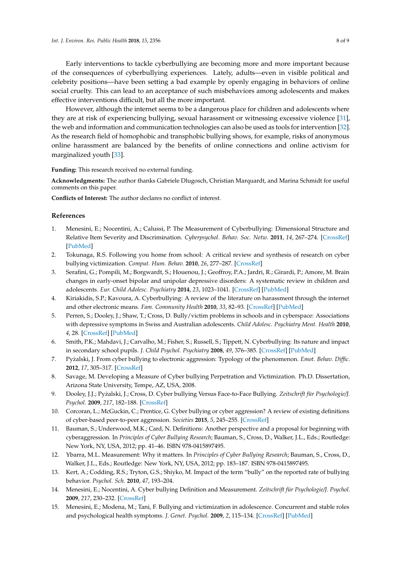Early interventions to tackle cyberbullying are becoming more and more important because of the consequences of cyberbullying experiences. Lately, adults—even in visible political and celebrity positions—have been setting a bad example by openly engaging in behaviors of online social cruelty. This can lead to an acceptance of such misbehaviors among adolescents and makes effective interventions difficult, but all the more important.

However, although the internet seems to be a dangerous place for children and adolescents where they are at risk of experiencing bullying, sexual harassment or witnessing excessive violence [\[31\]](#page-8-13), the web and information and communication technologies can also be used as tools for intervention [\[32\]](#page-8-14). As the research field of homophobic and transphobic bullying shows, for example, risks of anonymous online harassment are balanced by the benefits of online connections and online activism for marginalized youth [\[33\]](#page-8-15).

**Funding:** This research received no external funding.

**Acknowledgments:** The author thanks Gabriele Dlugosch, Christian Marquardt, and Marina Schmidt for useful comments on this paper.

**Conflicts of Interest:** The author declares no conflict of interest.

#### **References**

- <span id="page-7-0"></span>1. Menesini, E.; Nocentini, A.; Calussi, P. The Measurement of Cyberbullying: Dimensional Structure and Relative Item Severity and Discrimination. *Cyberpsychol. Behav. Soc. Netw.* **2011**, *14*, 267–274. [\[CrossRef\]](http://dx.doi.org/10.1089/cyber.2010.0002) [\[PubMed\]](http://www.ncbi.nlm.nih.gov/pubmed/21198366)
- <span id="page-7-1"></span>2. Tokunaga, R.S. Following you home from school: A critical review and synthesis of research on cyber bullying victimization. *Comput. Hum. Behav.* **2010**, *26*, 277–287. [\[CrossRef\]](http://dx.doi.org/10.1016/j.chb.2009.11.014)
- <span id="page-7-2"></span>3. Serafini, G.; Pompili, M.; Borgwardt, S.; Houenou, J.; Geoffroy, P.A.; Jardri, R.; Girardi, P.; Amore, M. Brain changes in early-onset bipolar and unipolar depressive disorders: A systematic review in children and adolescents. *Eur. Child Adolesc. Psychiatry* **2014**, *23*, 1023–1041. [\[CrossRef\]](http://dx.doi.org/10.1007/s00787-014-0614-z) [\[PubMed\]](http://www.ncbi.nlm.nih.gov/pubmed/25212880)
- 4. Kiriakidis, S.P.; Kavoura, A. Cyberbullying: A review of the literature on harassment through the internet and other electronic means. *Fam. Community Health* **2010**, *33*, 82–93. [\[CrossRef\]](http://dx.doi.org/10.1097/FCH.0b013e3181d593e4) [\[PubMed\]](http://www.ncbi.nlm.nih.gov/pubmed/20216351)
- <span id="page-7-3"></span>5. Perren, S.; Dooley, J.; Shaw, T.; Cross, D. Bully/victim problems in schools and in cyberspace: Associations with depressive symptoms in Swiss and Australian adolescents. *Child Adolesc. Psychiatry Ment. Health* **2010**, *4*, 28. [\[CrossRef\]](http://dx.doi.org/10.1186/1753-2000-4-28) [\[PubMed\]](http://www.ncbi.nlm.nih.gov/pubmed/21092266)
- <span id="page-7-4"></span>6. Smith, P.K.; Mahdavi, J.; Carvalho, M.; Fisher, S.; Russell, S.; Tippett, N. Cyberbullying: Its nature and impact in secondary school pupils. *J. Child Psychol. Psychiatry* **2008**, *49*, 376–385. [\[CrossRef\]](http://dx.doi.org/10.1111/j.1469-7610.2007.01846.x) [\[PubMed\]](http://www.ncbi.nlm.nih.gov/pubmed/18363945)
- <span id="page-7-5"></span>7. Pyzalski, J. From cyber bullying to electronic aggression: Typology of the phenomenon. ˙ *Emot. Behav. Diffic.* **2012**, *17*, 305–317. [\[CrossRef\]](http://dx.doi.org/10.1080/13632752.2012.704319)
- <span id="page-7-6"></span>8. Savage, M. Developing a Measure of Cyber bullying Perpetration and Victimization. Ph.D. Dissertation, Arizona State University, Tempe, AZ, USA, 2008.
- <span id="page-7-7"></span>9. Dooley, J.J.; Pyzalski, J.; Cross, D. Cyber bullying Versus Face-to-Face Bullying. ˙ *Zeitschrift für Psychologie/J. Psychol.* **2009**, *217*, 182–188. [\[CrossRef\]](http://dx.doi.org/10.1027/0044-3409.217.4.182)
- <span id="page-7-8"></span>10. Corcoran, L.; McGuckin, C.; Prentice, G. Cyber bullying or cyber aggression? A review of existing definitions of cyber-based peer-to-peer aggression. *Societies* **2015**, *5*, 245–255. [\[CrossRef\]](http://dx.doi.org/10.3390/soc5020245)
- <span id="page-7-9"></span>11. Bauman, S.; Underwood, M.K.; Card, N. Definitions: Another perspective and a proposal for beginning with cyberaggression. In *Principles of Cyber Bullying Research*; Bauman, S., Cross, D., Walker, J.L., Eds.; Routledge: New York, NY, USA, 2012; pp. 41–46. ISBN 978-0415897495.
- <span id="page-7-10"></span>12. Ybarra, M.L. Measurement: Why it matters. In *Principles of Cyber Bullying Research*; Bauman, S., Cross, D., Walker, J.L., Eds.; Routledge: New York, NY, USA, 2012; pp. 183–187. ISBN 978-0415897495.
- <span id="page-7-11"></span>13. Kert, A.; Codding, R.S.; Tryton, G.S.; Shiyko, M. Impact of the term "bully" on the reported rate of bullying behavior. *Psychol. Sch.* **2010**, *47*, 193–204.
- <span id="page-7-12"></span>14. Menesini, E.; Nocentini, A. Cyber bullying Definition and Measurement. *Zeitschrift für Psychologie/J. Psychol.* **2009**, *217*, 230–232. [\[CrossRef\]](http://dx.doi.org/10.1027/0044-3409.217.4.230)
- <span id="page-7-13"></span>15. Menesini, E.; Modena, M.; Tani, F. Bullying and victimization in adolescence. Concurrent and stable roles and psychological health symptoms. *J. Genet. Psychol.* **2009**, *2*, 115–134. [\[CrossRef\]](http://dx.doi.org/10.3200/GNTP.170.2.115-134) [\[PubMed\]](http://www.ncbi.nlm.nih.gov/pubmed/19492729)